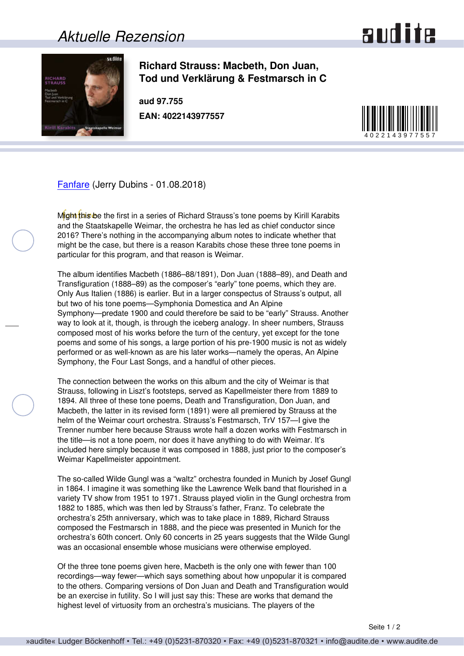## *Aktuelle Rezension*





**Richard Strauss: Macbeth, Don Juan, Tod und Verklärung & Festmarsch in C**

**aud 97.755 EAN: 4022143977557**



[Fanfare](http://www.fanfaremag.com/) (Jerry Dubins - 01.08.2018)

Might this be the first in a series of Richard Strauss's tone poems by Kirill Karabits and the Staatskapelle Weimar, the orchestra he has led as chief conductor since 2016? There's nothing in the accompanying album notes to indicate whether that might be the case, but there is a reason Karabits chose these three tone poems in particular for this program, and that reason is Weimar.

The album identifies Macbeth (1886–88/1891), Don Juan (1888–89), and Death and Transfiguration (1888–89) as the composer's "early" tone poems, which they are. Only Aus Italien (1886) is earlier. But in a larger conspectus of Strauss's output, all but two of his tone poems—Symphonia Domestica and An Alpine Symphony—predate 1900 and could therefore be said to be "early" Strauss. Another way to look at it, though, is through the iceberg analogy. In sheer numbers, Strauss composed most of his works before the turn of the century, yet except for the tone poems and some of his songs, a large portion of his pre-1900 music is not as widely performed or as well-known as are his later works—namely the operas, An Alpine Symphony, the Four Last Songs, and a handful of other pieces.

The connection between the works on this album and the city of Weimar is that Strauss, following in Liszt's footsteps, served as Kapellmeister there from 1889 to 1894. All three of these tone poems, Death and Transfiguration, Don Juan, and Macbeth, the latter in its revised form (1891) were all premiered by Strauss at the helm of the Weimar court orchestra. Strauss's Festmarsch, TrV 157—I give the Trenner number here because Strauss wrote half a dozen works with Festmarsch in the title—is not a tone poem, nor does it have anything to do with Weimar. It's included here simply because it was composed in 1888, just prior to the composer's Weimar Kapellmeister appointment.

The so-called Wilde Gungl was a "waltz" orchestra founded in Munich by Josef Gungl in 1864. I imagine it was something like the Lawrence Welk band that flourished in a variety TV show from 1951 to 1971. Strauss played violin in the Gungl orchestra from 1882 to 1885, which was then led by Strauss's father, Franz. To celebrate the orchestra's 25th anniversary, which was to take place in 1889, Richard Strauss composed the Festmarsch in 1888, and the piece was presented in Munich for the orchestra's 60th concert. Only 60 concerts in 25 years suggests that the Wilde Gungl was an occasional ensemble whose musicians were otherwise employed.

Of the three tone poems given here, Macbeth is the only one with fewer than 100 recordings—way fewer—which says something about how unpopular it is compared to the others. Comparing versions of Don Juan and Death and Transfiguration would be an exercise in futility. So I will just say this: These are works that demand the highest level of virtuosity from an orchestra's musicians. The players of the